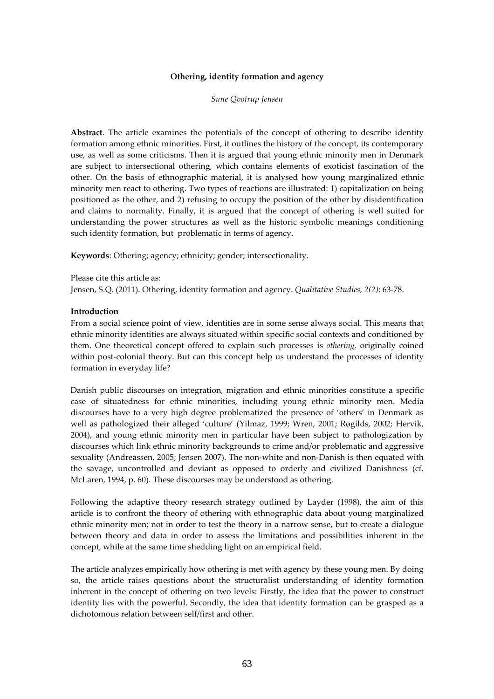### Othering, identity formation and agency

Sune Qvotrup Jensen

Abstract. The article examines the potentials of the concept of othering to describe identity formation among ethnic minorities. First, it outlines the history of the concept, its contemporary use, as well as some criticisms. Then it is argued that young ethnic minority men in Denmark are subject to intersectional othering, which contains elements of exoticist fascination of the other. On the basis of ethnographic material, it is analysed how young marginalized ethnic minority men react to othering. Two types of reactions are illustrated: 1) capitalization on being positioned as the other, and 2) refusing to occupy the position of the other by disidentification and claims to normality. Finally, it is argued that the concept of othering is well suited for understanding the power structures as well as the historic symbolic meanings conditioning such identity formation, but problematic in terms of agency.

Keywords: Othering; agency; ethnicity; gender; intersectionality.

Please cite this article as: Jensen, S.Q. (2011). Othering, identity formation and agency. Qualitative Studies, 2(2): 63-78.

#### Introduction

From a social science point of view, identities are in some sense always social. This means that ethnic minority identities are always situated within specific social contexts and conditioned by them. One theoretical concept offered to explain such processes is othering, originally coined within post-colonial theory. But can this concept help us understand the processes of identity formation in everyday life?

Danish public discourses on integration, migration and ethnic minorities constitute a specific case of situatedness for ethnic minorities, including young ethnic minority men. Media discourses have to a very high degree problematized the presence of 'others' in Denmark as well as pathologized their alleged 'culture' (Yilmaz, 1999; Wren, 2001; Røgilds, 2002; Hervik, 2004), and young ethnic minority men in particular have been subject to pathologization by discourses which link ethnic minority backgrounds to crime and/or problematic and aggressive sexuality (Andreassen, 2005; Jensen 2007). The non-white and non-Danish is then equated with the savage, uncontrolled and deviant as opposed to orderly and civilized Danishness (cf. McLaren, 1994, p. 60). These discourses may be understood as othering.

Following the adaptive theory research strategy outlined by Layder (1998), the aim of this article is to confront the theory of othering with ethnographic data about young marginalized ethnic minority men; not in order to test the theory in a narrow sense, but to create a dialogue between theory and data in order to assess the limitations and possibilities inherent in the concept, while at the same time shedding light on an empirical field.

The article analyzes empirically how othering is met with agency by these young men. By doing so, the article raises questions about the structuralist understanding of identity formation inherent in the concept of othering on two levels: Firstly, the idea that the power to construct identity lies with the powerful. Secondly, the idea that identity formation can be grasped as a dichotomous relation between self/first and other.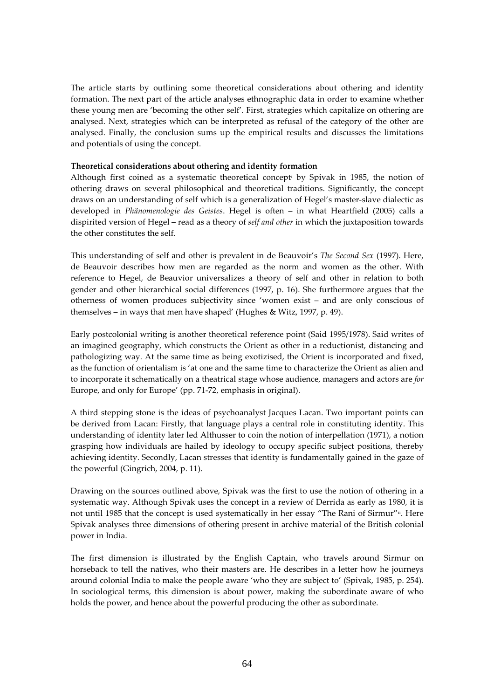The article starts by outlining some theoretical considerations about othering and identity formation. The next part of the article analyses ethnographic data in order to examine whether these young men are 'becoming the other self'. First, strategies which capitalize on othering are analysed. Next, strategies which can be interpreted as refusal of the category of the other are analysed. Finally, the conclusion sums up the empirical results and discusses the limitations and potentials of using the concept.

## Theoretical considerations about othering and identity formation

Although first coined as a systematic theoretical concept<sup>i</sup> by Spivak in 1985, the notion of othering draws on several philosophical and theoretical traditions. Significantly, the concept draws on an understanding of self which is a generalization of Hegel's master-slave dialectic as developed in Phänomenologie des Geistes. Hegel is often – in what Heartfield (2005) calls a dispirited version of Hegel – read as a theory of self and other in which the juxtaposition towards the other constitutes the self.

This understanding of self and other is prevalent in de Beauvoir's The Second Sex (1997). Here, de Beauvoir describes how men are regarded as the norm and women as the other. With reference to Hegel, de Beauvior universalizes a theory of self and other in relation to both gender and other hierarchical social differences (1997, p. 16). She furthermore argues that the otherness of women produces subjectivity since 'women exist – and are only conscious of themselves – in ways that men have shaped' (Hughes & Witz, 1997, p. 49).

Early postcolonial writing is another theoretical reference point (Said 1995/1978). Said writes of an imagined geography, which constructs the Orient as other in a reductionist, distancing and pathologizing way. At the same time as being exotizised, the Orient is incorporated and fixed, as the function of orientalism is 'at one and the same time to characterize the Orient as alien and to incorporate it schematically on a theatrical stage whose audience, managers and actors are for Europe, and only for Europe' (pp. 71-72, emphasis in original).

A third stepping stone is the ideas of psychoanalyst Jacques Lacan. Two important points can be derived from Lacan: Firstly, that language plays a central role in constituting identity. This understanding of identity later led Althusser to coin the notion of interpellation (1971), a notion grasping how individuals are hailed by ideology to occupy specific subject positions, thereby achieving identity. Secondly, Lacan stresses that identity is fundamentally gained in the gaze of the powerful (Gingrich, 2004, p. 11).

Drawing on the sources outlined above, Spivak was the first to use the notion of othering in a systematic way. Although Spivak uses the concept in a review of Derrida as early as 1980, it is not until 1985 that the concept is used systematically in her essay "The Rani of Sirmur"ii. Here Spivak analyses three dimensions of othering present in archive material of the British colonial power in India.

The first dimension is illustrated by the English Captain, who travels around Sirmur on horseback to tell the natives, who their masters are. He describes in a letter how he journeys around colonial India to make the people aware 'who they are subject to' (Spivak, 1985, p. 254). In sociological terms, this dimension is about power, making the subordinate aware of who holds the power, and hence about the powerful producing the other as subordinate.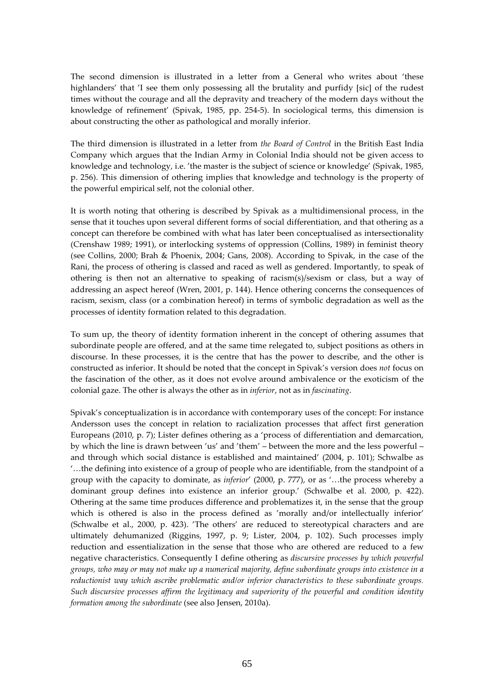The second dimension is illustrated in a letter from a General who writes about 'these highlanders' that 'I see them only possessing all the brutality and purfidy [sic] of the rudest times without the courage and all the depravity and treachery of the modern days without the knowledge of refinement' (Spivak, 1985, pp. 254-5). In sociological terms, this dimension is about constructing the other as pathological and morally inferior.

The third dimension is illustrated in a letter from the Board of Control in the British East India Company which argues that the Indian Army in Colonial India should not be given access to knowledge and technology, i.e. 'the master is the subject of science or knowledge' (Spivak, 1985, p. 256). This dimension of othering implies that knowledge and technology is the property of the powerful empirical self, not the colonial other.

It is worth noting that othering is described by Spivak as a multidimensional process, in the sense that it touches upon several different forms of social differentiation, and that othering as a concept can therefore be combined with what has later been conceptualised as intersectionality (Crenshaw 1989; 1991), or interlocking systems of oppression (Collins, 1989) in feminist theory (see Collins, 2000; Brah & Phoenix, 2004; Gans, 2008). According to Spivak, in the case of the Rani, the process of othering is classed and raced as well as gendered. Importantly, to speak of othering is then not an alternative to speaking of racism(s)/sexism or class, but a way of addressing an aspect hereof (Wren, 2001, p. 144). Hence othering concerns the consequences of racism, sexism, class (or a combination hereof) in terms of symbolic degradation as well as the processes of identity formation related to this degradation.

To sum up, the theory of identity formation inherent in the concept of othering assumes that subordinate people are offered, and at the same time relegated to, subject positions as others in discourse. In these processes, it is the centre that has the power to describe, and the other is constructed as inferior. It should be noted that the concept in Spivak's version does not focus on the fascination of the other, as it does not evolve around ambivalence or the exoticism of the colonial gaze. The other is always the other as in inferior, not as in fascinating.

Spivak's conceptualization is in accordance with contemporary uses of the concept: For instance Andersson uses the concept in relation to racialization processes that affect first generation Europeans (2010, p. 7); Lister defines othering as a 'process of differentiation and demarcation, by which the line is drawn between 'us' and 'them' – between the more and the less powerful – and through which social distance is established and maintained' (2004, p. 101); Schwalbe as '…the defining into existence of a group of people who are identifiable, from the standpoint of a group with the capacity to dominate, as inferior' (2000, p. 777), or as '…the process whereby a dominant group defines into existence an inferior group.' (Schwalbe et al. 2000, p. 422). Othering at the same time produces difference and problematizes it, in the sense that the group which is othered is also in the process defined as 'morally and/or intellectually inferior' (Schwalbe et al., 2000, p. 423). 'The others' are reduced to stereotypical characters and are ultimately dehumanized (Riggins, 1997, p. 9; Lister, 2004, p. 102). Such processes imply reduction and essentialization in the sense that those who are othered are reduced to a few negative characteristics. Consequently I define othering as discursive processes by which powerful groups, who may or may not make up a numerical majority, define subordinate groups into existence in a reductionist way which ascribe problematic and/or inferior characteristics to these subordinate groups. Such discursive processes affirm the legitimacy and superiority of the powerful and condition identity formation among the subordinate (see also Jensen, 2010a).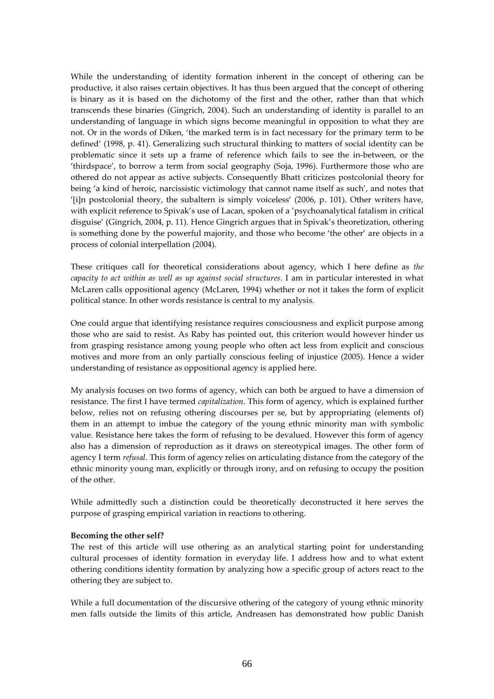While the understanding of identity formation inherent in the concept of othering can be productive, it also raises certain objectives. It has thus been argued that the concept of othering is binary as it is based on the dichotomy of the first and the other, rather than that which transcends these binaries (Gingrich, 2004). Such an understanding of identity is parallel to an understanding of language in which signs become meaningful in opposition to what they are not. Or in the words of Diken, 'the marked term is in fact necessary for the primary term to be defined' (1998, p. 41). Generalizing such structural thinking to matters of social identity can be problematic since it sets up a frame of reference which fails to see the in-between, or the 'thirdspace', to borrow a term from social geography (Soja, 1996). Furthermore those who are othered do not appear as active subjects. Consequently Bhatt criticizes postcolonial theory for being 'a kind of heroic, narcissistic victimology that cannot name itself as such', and notes that '[i]n postcolonial theory, the subaltern is simply voiceless' (2006, p. 101). Other writers have, with explicit reference to Spivak's use of Lacan, spoken of a 'psychoanalytical fatalism in critical disguise' (Gingrich, 2004, p. 11). Hence Gingrich argues that in Spivak's theoretization, othering is something done by the powerful majority, and those who become 'the other' are objects in a process of colonial interpellation (2004).

These critiques call for theoretical considerations about agency, which I here define as the capacity to act within as well as up against social structures. I am in particular interested in what McLaren calls oppositional agency (McLaren, 1994) whether or not it takes the form of explicit political stance. In other words resistance is central to my analysis.

One could argue that identifying resistance requires consciousness and explicit purpose among those who are said to resist. As Raby has pointed out, this criterion would however hinder us from grasping resistance among young people who often act less from explicit and conscious motives and more from an only partially conscious feeling of injustice (2005). Hence a wider understanding of resistance as oppositional agency is applied here.

My analysis focuses on two forms of agency, which can both be argued to have a dimension of resistance. The first I have termed *capitalization*. This form of agency, which is explained further below, relies not on refusing othering discourses per se, but by appropriating (elements of) them in an attempt to imbue the category of the young ethnic minority man with symbolic value. Resistance here takes the form of refusing to be devalued. However this form of agency also has a dimension of reproduction as it draws on stereotypical images. The other form of agency I term *refusal*. This form of agency relies on articulating distance from the category of the ethnic minority young man, explicitly or through irony, and on refusing to occupy the position of the other.

While admittedly such a distinction could be theoretically deconstructed it here serves the purpose of grasping empirical variation in reactions to othering.

# Becoming the other self?

The rest of this article will use othering as an analytical starting point for understanding cultural processes of identity formation in everyday life. I address how and to what extent othering conditions identity formation by analyzing how a specific group of actors react to the othering they are subject to.

While a full documentation of the discursive othering of the category of young ethnic minority men falls outside the limits of this article, Andreasen has demonstrated how public Danish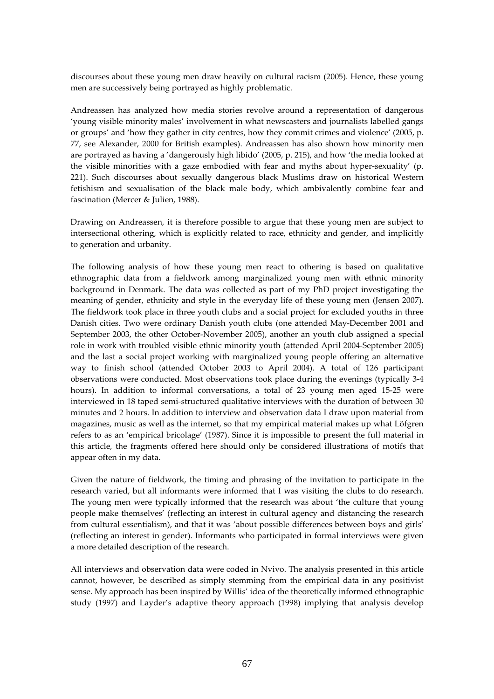discourses about these young men draw heavily on cultural racism (2005). Hence, these young men are successively being portrayed as highly problematic.

Andreassen has analyzed how media stories revolve around a representation of dangerous 'young visible minority males' involvement in what newscasters and journalists labelled gangs or groups' and 'how they gather in city centres, how they commit crimes and violence' (2005, p. 77, see Alexander, 2000 for British examples). Andreassen has also shown how minority men are portrayed as having a 'dangerously high libido' (2005, p. 215), and how 'the media looked at the visible minorities with a gaze embodied with fear and myths about hyper-sexuality' (p. 221). Such discourses about sexually dangerous black Muslims draw on historical Western fetishism and sexualisation of the black male body, which ambivalently combine fear and fascination (Mercer & Julien, 1988).

Drawing on Andreassen, it is therefore possible to argue that these young men are subject to intersectional othering, which is explicitly related to race, ethnicity and gender, and implicitly to generation and urbanity.

The following analysis of how these young men react to othering is based on qualitative ethnographic data from a fieldwork among marginalized young men with ethnic minority background in Denmark. The data was collected as part of my PhD project investigating the meaning of gender, ethnicity and style in the everyday life of these young men (Jensen 2007). The fieldwork took place in three youth clubs and a social project for excluded youths in three Danish cities. Two were ordinary Danish youth clubs (one attended May-December 2001 and September 2003, the other October-November 2005), another an youth club assigned a special role in work with troubled visible ethnic minority youth (attended April 2004-September 2005) and the last a social project working with marginalized young people offering an alternative way to finish school (attended October 2003 to April 2004). A total of 126 participant observations were conducted. Most observations took place during the evenings (typically 3-4 hours). In addition to informal conversations, a total of 23 young men aged 15-25 were interviewed in 18 taped semi-structured qualitative interviews with the duration of between 30 minutes and 2 hours. In addition to interview and observation data I draw upon material from magazines, music as well as the internet, so that my empirical material makes up what Löfgren refers to as an 'empirical bricolage' (1987). Since it is impossible to present the full material in this article, the fragments offered here should only be considered illustrations of motifs that appear often in my data.

Given the nature of fieldwork, the timing and phrasing of the invitation to participate in the research varied, but all informants were informed that I was visiting the clubs to do research. The young men were typically informed that the research was about 'the culture that young people make themselves' (reflecting an interest in cultural agency and distancing the research from cultural essentialism), and that it was 'about possible differences between boys and girls' (reflecting an interest in gender). Informants who participated in formal interviews were given a more detailed description of the research.

All interviews and observation data were coded in Nvivo. The analysis presented in this article cannot, however, be described as simply stemming from the empirical data in any positivist sense. My approach has been inspired by Willis' idea of the theoretically informed ethnographic study (1997) and Layder's adaptive theory approach (1998) implying that analysis develop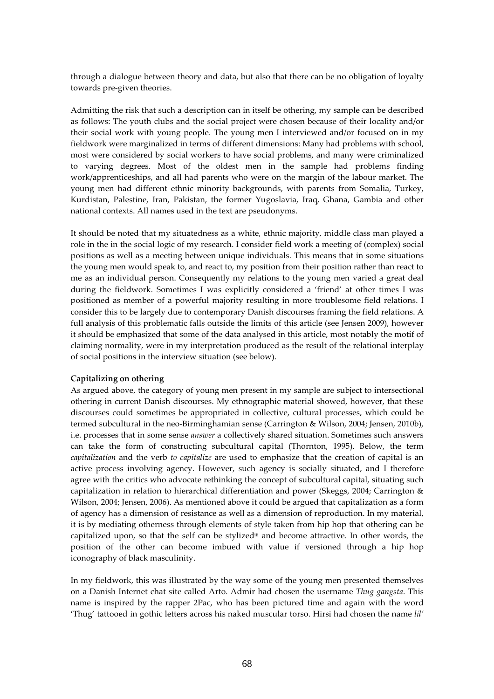through a dialogue between theory and data, but also that there can be no obligation of loyalty towards pre-given theories.

Admitting the risk that such a description can in itself be othering, my sample can be described as follows: The youth clubs and the social project were chosen because of their locality and/or their social work with young people. The young men I interviewed and/or focused on in my fieldwork were marginalized in terms of different dimensions: Many had problems with school, most were considered by social workers to have social problems, and many were criminalized to varying degrees. Most of the oldest men in the sample had problems finding work/apprenticeships, and all had parents who were on the margin of the labour market. The young men had different ethnic minority backgrounds, with parents from Somalia, Turkey, Kurdistan, Palestine, Iran, Pakistan, the former Yugoslavia, Iraq, Ghana, Gambia and other national contexts. All names used in the text are pseudonyms.

It should be noted that my situatedness as a white, ethnic majority, middle class man played a role in the in the social logic of my research. I consider field work a meeting of (complex) social positions as well as a meeting between unique individuals. This means that in some situations the young men would speak to, and react to, my position from their position rather than react to me as an individual person. Consequently my relations to the young men varied a great deal during the fieldwork. Sometimes I was explicitly considered a 'friend' at other times I was positioned as member of a powerful majority resulting in more troublesome field relations. I consider this to be largely due to contemporary Danish discourses framing the field relations. A full analysis of this problematic falls outside the limits of this article (see Jensen 2009), however it should be emphasized that some of the data analysed in this article, most notably the motif of claiming normality, were in my interpretation produced as the result of the relational interplay of social positions in the interview situation (see below).

# Capitalizing on othering

As argued above, the category of young men present in my sample are subject to intersectional othering in current Danish discourses. My ethnographic material showed, however, that these discourses could sometimes be appropriated in collective, cultural processes, which could be termed subcultural in the neo-Birminghamian sense (Carrington & Wilson, 2004; Jensen, 2010b), i.e. processes that in some sense answer a collectively shared situation. Sometimes such answers can take the form of constructing subcultural capital (Thornton, 1995). Below, the term capitalization and the verb to capitalize are used to emphasize that the creation of capital is an active process involving agency. However, such agency is socially situated, and I therefore agree with the critics who advocate rethinking the concept of subcultural capital, situating such capitalization in relation to hierarchical differentiation and power (Skeggs, 2004; Carrington & Wilson, 2004; Jensen, 2006). As mentioned above it could be argued that capitalization as a form of agency has a dimension of resistance as well as a dimension of reproduction. In my material, it is by mediating otherness through elements of style taken from hip hop that othering can be capitalized upon, so that the self can be stylizediii and become attractive. In other words, the position of the other can become imbued with value if versioned through a hip hop iconography of black masculinity.

In my fieldwork, this was illustrated by the way some of the young men presented themselves on a Danish Internet chat site called Arto. Admir had chosen the username Thug-gangsta. This name is inspired by the rapper 2Pac, who has been pictured time and again with the word 'Thug' tattooed in gothic letters across his naked muscular torso. Hirsi had chosen the name lil'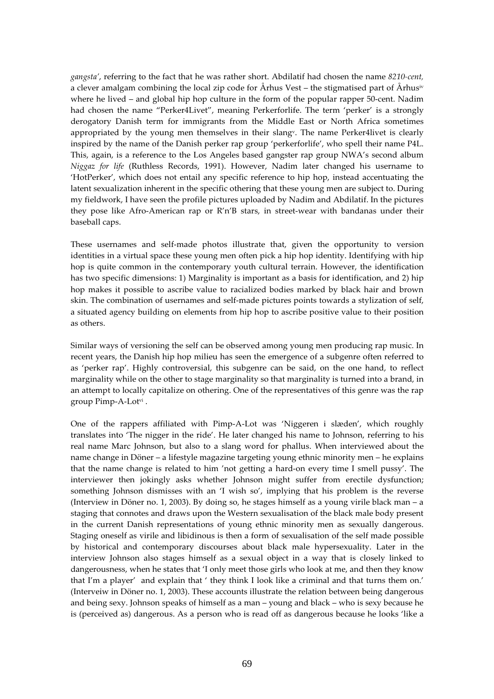gangsta', referring to the fact that he was rather short. Abdilatif had chosen the name 8210-cent, a clever amalgam combining the local zip code for Århus Vest – the stigmatised part of Århus<sup>iv</sup> where he lived – and global hip hop culture in the form of the popular rapper 50-cent. Nadim had chosen the name "Perker4Livet", meaning Perkerforlife. The term 'perker' is a strongly derogatory Danish term for immigrants from the Middle East or North Africa sometimes appropriated by the young men themselves in their slang<sup>v</sup>. The name Perker4livet is clearly inspired by the name of the Danish perker rap group 'perkerforlife', who spell their name P4L. This, again, is a reference to the Los Angeles based gangster rap group NWA's second album Niggaz for life (Ruthless Records, 1991). However, Nadim later changed his username to 'HotPerker', which does not entail any specific reference to hip hop, instead accentuating the latent sexualization inherent in the specific othering that these young men are subject to. During my fieldwork, I have seen the profile pictures uploaded by Nadim and Abdilatif. In the pictures they pose like Afro-American rap or R'n'B stars, in street-wear with bandanas under their baseball caps.

These usernames and self-made photos illustrate that, given the opportunity to version identities in a virtual space these young men often pick a hip hop identity. Identifying with hip hop is quite common in the contemporary youth cultural terrain. However, the identification has two specific dimensions: 1) Marginality is important as a basis for identification, and 2) hip hop makes it possible to ascribe value to racialized bodies marked by black hair and brown skin. The combination of usernames and self-made pictures points towards a stylization of self, a situated agency building on elements from hip hop to ascribe positive value to their position as others.

Similar ways of versioning the self can be observed among young men producing rap music. In recent years, the Danish hip hop milieu has seen the emergence of a subgenre often referred to as 'perker rap'. Highly controversial, this subgenre can be said, on the one hand, to reflect marginality while on the other to stage marginality so that marginality is turned into a brand, in an attempt to locally capitalize on othering. One of the representatives of this genre was the rap group Pimp-A-Lotvi.

One of the rappers affiliated with Pimp-A-Lot was 'Niggeren i slæden', which roughly translates into 'The nigger in the ride'. He later changed his name to Johnson, referring to his real name Marc Johnson, but also to a slang word for phallus. When interviewed about the name change in Döner – a lifestyle magazine targeting young ethnic minority men – he explains that the name change is related to him 'not getting a hard-on every time I smell pussy'. The interviewer then jokingly asks whether Johnson might suffer from erectile dysfunction; something Johnson dismisses with an 'I wish so', implying that his problem is the reverse (Interview in Döner no. 1, 2003). By doing so, he stages himself as a young virile black man – a staging that connotes and draws upon the Western sexualisation of the black male body present in the current Danish representations of young ethnic minority men as sexually dangerous. Staging oneself as virile and libidinous is then a form of sexualisation of the self made possible by historical and contemporary discourses about black male hypersexuality. Later in the interview Johnson also stages himself as a sexual object in a way that is closely linked to dangerousness, when he states that 'I only meet those girls who look at me, and then they know that I'm a player' and explain that ' they think I look like a criminal and that turns them on.' (Interveiw in Döner no. 1, 2003). These accounts illustrate the relation between being dangerous and being sexy. Johnson speaks of himself as a man – young and black – who is sexy because he is (perceived as) dangerous. As a person who is read off as dangerous because he looks 'like a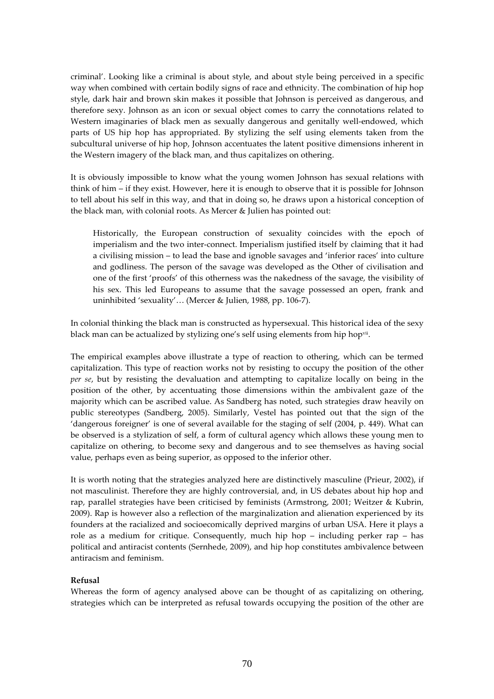criminal'. Looking like a criminal is about style, and about style being perceived in a specific way when combined with certain bodily signs of race and ethnicity. The combination of hip hop style, dark hair and brown skin makes it possible that Johnson is perceived as dangerous, and therefore sexy. Johnson as an icon or sexual object comes to carry the connotations related to Western imaginaries of black men as sexually dangerous and genitally well-endowed, which parts of US hip hop has appropriated. By stylizing the self using elements taken from the subcultural universe of hip hop, Johnson accentuates the latent positive dimensions inherent in the Western imagery of the black man, and thus capitalizes on othering.

It is obviously impossible to know what the young women Johnson has sexual relations with think of him – if they exist. However, here it is enough to observe that it is possible for Johnson to tell about his self in this way, and that in doing so, he draws upon a historical conception of the black man, with colonial roots. As Mercer & Julien has pointed out:

Historically, the European construction of sexuality coincides with the epoch of imperialism and the two inter-connect. Imperialism justified itself by claiming that it had a civilising mission – to lead the base and ignoble savages and 'inferior races' into culture and godliness. The person of the savage was developed as the Other of civilisation and one of the first 'proofs' of this otherness was the nakedness of the savage, the visibility of his sex. This led Europeans to assume that the savage possessed an open, frank and uninhibited 'sexuality'… (Mercer & Julien, 1988, pp. 106-7).

In colonial thinking the black man is constructed as hypersexual. This historical idea of the sexy black man can be actualized by stylizing one's self using elements from hip hop<sup>vii</sup>.

The empirical examples above illustrate a type of reaction to othering, which can be termed capitalization. This type of reaction works not by resisting to occupy the position of the other per se, but by resisting the devaluation and attempting to capitalize locally on being in the position of the other, by accentuating those dimensions within the ambivalent gaze of the majority which can be ascribed value. As Sandberg has noted, such strategies draw heavily on public stereotypes (Sandberg, 2005). Similarly, Vestel has pointed out that the sign of the 'dangerous foreigner' is one of several available for the staging of self (2004, p. 449). What can be observed is a stylization of self, a form of cultural agency which allows these young men to capitalize on othering, to become sexy and dangerous and to see themselves as having social value, perhaps even as being superior, as opposed to the inferior other.

It is worth noting that the strategies analyzed here are distinctively masculine (Prieur, 2002), if not masculinist. Therefore they are highly controversial, and, in US debates about hip hop and rap, parallel strategies have been criticised by feminists (Armstrong, 2001; Weitzer & Kubrin, 2009). Rap is however also a reflection of the marginalization and alienation experienced by its founders at the racialized and socioecomically deprived margins of urban USA. Here it plays a role as a medium for critique. Consequently, much hip hop  $-$  including perker rap  $-$  has political and antiracist contents (Sernhede, 2009), and hip hop constitutes ambivalence between antiracism and feminism.

# Refusal

Whereas the form of agency analysed above can be thought of as capitalizing on othering, strategies which can be interpreted as refusal towards occupying the position of the other are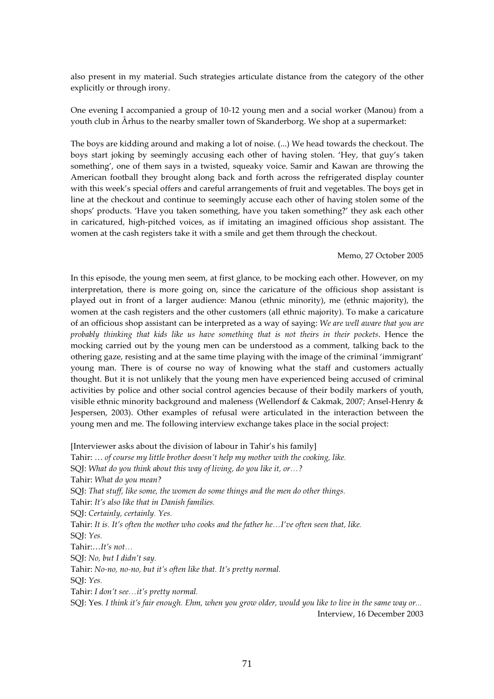also present in my material. Such strategies articulate distance from the category of the other explicitly or through irony.

One evening I accompanied a group of 10-12 young men and a social worker (Manou) from a youth club in Århus to the nearby smaller town of Skanderborg. We shop at a supermarket:

The boys are kidding around and making a lot of noise. (...) We head towards the checkout. The boys start joking by seemingly accusing each other of having stolen. 'Hey, that guy's taken something', one of them says in a twisted, squeaky voice. Samir and Kawan are throwing the American football they brought along back and forth across the refrigerated display counter with this week's special offers and careful arrangements of fruit and vegetables. The boys get in line at the checkout and continue to seemingly accuse each other of having stolen some of the shops' products. 'Have you taken something, have you taken something?' they ask each other in caricatured, high-pitched voices, as if imitating an imagined officious shop assistant. The women at the cash registers take it with a smile and get them through the checkout.

### Memo, 27 October 2005

In this episode, the young men seem, at first glance, to be mocking each other. However, on my interpretation, there is more going on, since the caricature of the officious shop assistant is played out in front of a larger audience: Manou (ethnic minority), me (ethnic majority), the women at the cash registers and the other customers (all ethnic majority). To make a caricature of an officious shop assistant can be interpreted as a way of saying: We are well aware that you are probably thinking that kids like us have something that is not theirs in their pockets. Hence the mocking carried out by the young men can be understood as a comment, talking back to the othering gaze, resisting and at the same time playing with the image of the criminal 'immigrant' young man. There is of course no way of knowing what the staff and customers actually thought. But it is not unlikely that the young men have experienced being accused of criminal activities by police and other social control agencies because of their bodily markers of youth, visible ethnic minority background and maleness (Wellendorf & Cakmak, 2007; Ansel-Henry & Jespersen, 2003). Other examples of refusal were articulated in the interaction between the young men and me. The following interview exchange takes place in the social project:

[Interviewer asks about the division of labour in Tahir's his family] Tahir: … of course my little brother doesn't help my mother with the cooking, like. SQJ: What do you think about this way of living, do you like it, or…? Tahir: What do you mean? SQJ: That stuff, like some, the women do some things and the men do other things. Tahir: It's also like that in Danish families. SQJ: Certainly, certainly. Yes. Tahir: It is. It's often the mother who cooks and the father he…I've often seen that, like. SQJ: Yes. Tahir:…It's not… SQJ: No, but I didn't say. Tahir: No-no, no-no, but it's often like that. It's pretty normal. SQJ: Yes. Tahir: I don't see…it's pretty normal. SQJ: Yes. I think it's fair enough. Ehm, when you grow older, would you like to live in the same way or... Interview, 16 December 2003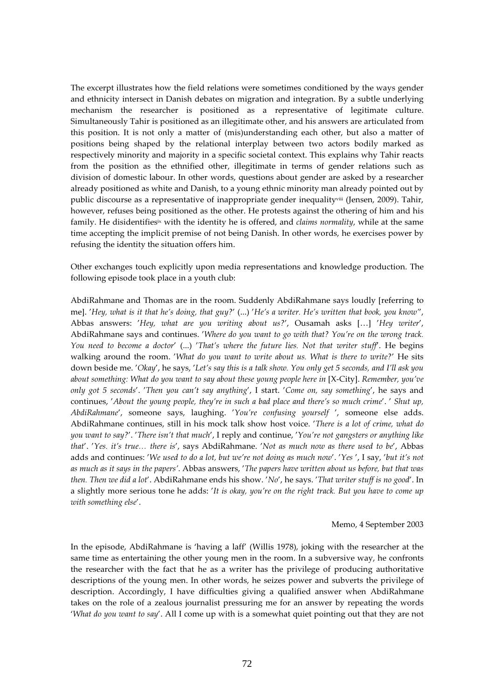The excerpt illustrates how the field relations were sometimes conditioned by the ways gender and ethnicity intersect in Danish debates on migration and integration. By a subtle underlying mechanism the researcher is positioned as a representative of legitimate culture. Simultaneously Tahir is positioned as an illegitimate other, and his answers are articulated from this position. It is not only a matter of (mis)understanding each other, but also a matter of positions being shaped by the relational interplay between two actors bodily marked as respectively minority and majority in a specific societal context. This explains why Tahir reacts from the position as the ethnified other, illegitimate in terms of gender relations such as division of domestic labour. In other words, questions about gender are asked by a researcher already positioned as white and Danish, to a young ethnic minority man already pointed out by public discourse as a representative of inappropriate gender inequalityviii (Jensen, 2009). Tahir, however, refuses being positioned as the other. He protests against the othering of him and his family. He disidentifies<sup>ix</sup> with the identity he is offered, and *claims normality*, while at the same time accepting the implicit premise of not being Danish. In other words, he exercises power by refusing the identity the situation offers him.

Other exchanges touch explicitly upon media representations and knowledge production. The following episode took place in a youth club:

AbdiRahmane and Thomas are in the room. Suddenly AbdiRahmane says loudly [referring to me]. 'Hey, what is it that he's doing, that guy?' (...) 'He's a writer. He's written that book, you know'', Abbas answers: 'Hey, what are you writing about us?', Ousamah asks […] 'Hey writer', AbdiRahmane says and continues. 'Where do you want to go with that? You're on the wrong track. You need to become a doctor' (...) 'That's where the future lies. Not that writer stuff'. He begins walking around the room. 'What do you want to write about us. What is there to write?' He sits down beside me. 'Okay', he says, 'Let's say this is a talk show. You only get 5 seconds, and I'll ask you about something: What do you want to say about these young people here in [X-City]. Remember, you've only got 5 seconds'. 'Then you can't say anything', I start. 'Come on, say something', he says and continues, 'About the young people, they're in such a bad place and there's so much crime'. ' Shut up, AbdiRahmane', someone says, laughing. 'You're confusing yourself ', someone else adds. AbdiRahmane continues, still in his mock talk show host voice. 'There is a lot of crime, what do you want to say?'. 'There isn't that much', I reply and continue, 'You're not gangsters or anything like that'. 'Yes. it's true… there is', says AbdiRahmane. 'Not as much now as there used to be', Abbas adds and continues: 'We used to do a lot, but we're not doing as much now'. 'Yes ', I say, 'but it's not as much as it says in the papers'. Abbas answers, 'The papers have written about us before, but that was then. Then we did a lot'. AbdiRahmane ends his show. 'No', he says. 'That writer stuff is no good'. In a slightly more serious tone he adds: 'It is okay, you're on the right track. But you have to come up with something else'.

#### Memo, 4 September 2003

In the episode, AbdiRahmane is 'having a laff' (Willis 1978), joking with the researcher at the same time as entertaining the other young men in the room. In a subversive way, he confronts the researcher with the fact that he as a writer has the privilege of producing authoritative descriptions of the young men. In other words, he seizes power and subverts the privilege of description. Accordingly, I have difficulties giving a qualified answer when AbdiRahmane takes on the role of a zealous journalist pressuring me for an answer by repeating the words 'What do you want to say'. All I come up with is a somewhat quiet pointing out that they are not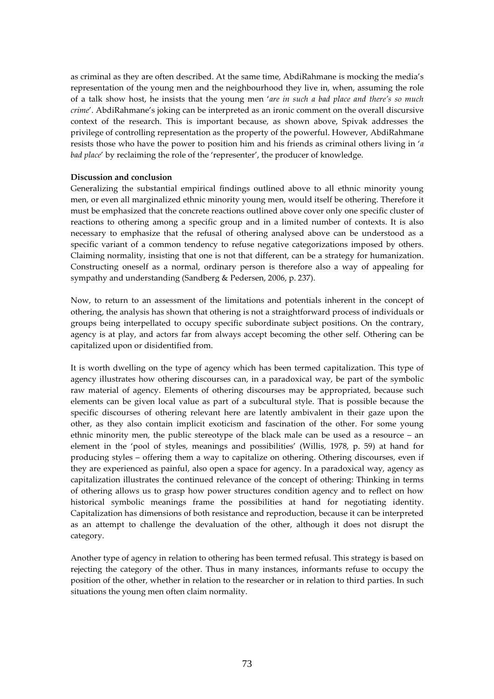as criminal as they are often described. At the same time, AbdiRahmane is mocking the media's representation of the young men and the neighbourhood they live in, when, assuming the role of a talk show host, he insists that the young men 'are in such a bad place and there's so much crime'. AbdiRahmane's joking can be interpreted as an ironic comment on the overall discursive context of the research. This is important because, as shown above, Spivak addresses the privilege of controlling representation as the property of the powerful. However, AbdiRahmane resists those who have the power to position him and his friends as criminal others living in 'a bad place' by reclaiming the role of the 'representer', the producer of knowledge.

### Discussion and conclusion

Generalizing the substantial empirical findings outlined above to all ethnic minority young men, or even all marginalized ethnic minority young men, would itself be othering. Therefore it must be emphasized that the concrete reactions outlined above cover only one specific cluster of reactions to othering among a specific group and in a limited number of contexts. It is also necessary to emphasize that the refusal of othering analysed above can be understood as a specific variant of a common tendency to refuse negative categorizations imposed by others. Claiming normality, insisting that one is not that different, can be a strategy for humanization. Constructing oneself as a normal, ordinary person is therefore also a way of appealing for sympathy and understanding (Sandberg & Pedersen, 2006, p. 237).

Now, to return to an assessment of the limitations and potentials inherent in the concept of othering, the analysis has shown that othering is not a straightforward process of individuals or groups being interpellated to occupy specific subordinate subject positions. On the contrary, agency is at play, and actors far from always accept becoming the other self. Othering can be capitalized upon or disidentified from.

It is worth dwelling on the type of agency which has been termed capitalization. This type of agency illustrates how othering discourses can, in a paradoxical way, be part of the symbolic raw material of agency. Elements of othering discourses may be appropriated, because such elements can be given local value as part of a subcultural style. That is possible because the specific discourses of othering relevant here are latently ambivalent in their gaze upon the other, as they also contain implicit exoticism and fascination of the other. For some young ethnic minority men, the public stereotype of the black male can be used as a resource – an element in the 'pool of styles, meanings and possibilities' (Willis, 1978, p. 59) at hand for producing styles – offering them a way to capitalize on othering. Othering discourses, even if they are experienced as painful, also open a space for agency. In a paradoxical way, agency as capitalization illustrates the continued relevance of the concept of othering: Thinking in terms of othering allows us to grasp how power structures condition agency and to reflect on how historical symbolic meanings frame the possibilities at hand for negotiating identity. Capitalization has dimensions of both resistance and reproduction, because it can be interpreted as an attempt to challenge the devaluation of the other, although it does not disrupt the category.

Another type of agency in relation to othering has been termed refusal. This strategy is based on rejecting the category of the other. Thus in many instances, informants refuse to occupy the position of the other, whether in relation to the researcher or in relation to third parties. In such situations the young men often claim normality.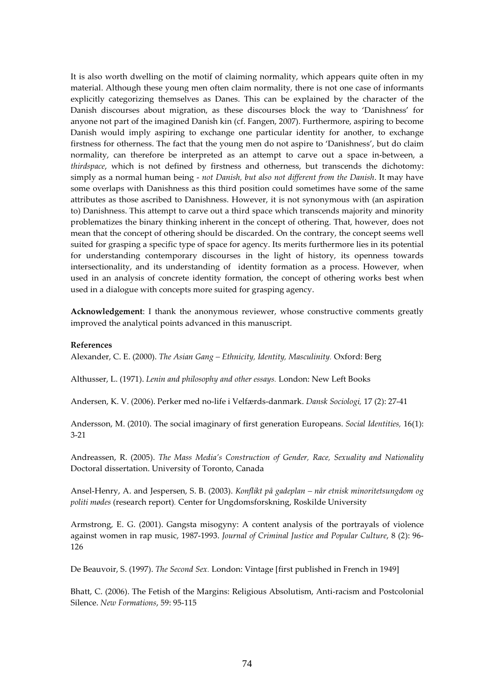It is also worth dwelling on the motif of claiming normality, which appears quite often in my material. Although these young men often claim normality, there is not one case of informants explicitly categorizing themselves as Danes. This can be explained by the character of the Danish discourses about migration, as these discourses block the way to 'Danishness' for anyone not part of the imagined Danish kin (cf. Fangen, 2007). Furthermore, aspiring to become Danish would imply aspiring to exchange one particular identity for another, to exchange firstness for otherness. The fact that the young men do not aspire to 'Danishness', but do claim normality, can therefore be interpreted as an attempt to carve out a space in-between, a thirdspace, which is not defined by firstness and otherness, but transcends the dichotomy: simply as a normal human being - not Danish, but also not different from the Danish. It may have some overlaps with Danishness as this third position could sometimes have some of the same attributes as those ascribed to Danishness. However, it is not synonymous with (an aspiration to) Danishness. This attempt to carve out a third space which transcends majority and minority problematizes the binary thinking inherent in the concept of othering. That, however, does not mean that the concept of othering should be discarded. On the contrary, the concept seems well suited for grasping a specific type of space for agency. Its merits furthermore lies in its potential for understanding contemporary discourses in the light of history, its openness towards intersectionality, and its understanding of identity formation as a process. However, when used in an analysis of concrete identity formation, the concept of othering works best when used in a dialogue with concepts more suited for grasping agency.

Acknowledgement: I thank the anonymous reviewer, whose constructive comments greatly improved the analytical points advanced in this manuscript.

### References

Alexander, C. E. (2000). The Asian Gang – Ethnicity, Identity, Masculinity. Oxford: Berg

Althusser, L. (1971). Lenin and philosophy and other essays. London: New Left Books

Andersen, K. V. (2006). Perker med no-life i Velfærds-danmark. Dansk Sociologi, 17 (2): 27-41

Andersson, M. (2010). The social imaginary of first generation Europeans. Social Identities, 16(1): 3-21

Andreassen, R. (2005). The Mass Media's Construction of Gender, Race, Sexuality and Nationality Doctoral dissertation. University of Toronto, Canada

Ansel-Henry, A. and Jespersen, S. B. (2003). Konflikt på gadeplan – når etnisk minoritetsungdom og politi mødes (research report). Center for Ungdomsforskning, Roskilde University

Armstrong, E. G. (2001). Gangsta misogyny: A content analysis of the portrayals of violence against women in rap music, 1987-1993. Journal of Criminal Justice and Popular Culture, 8 (2): 96-126

De Beauvoir, S. (1997). The Second Sex. London: Vintage [first published in French in 1949]

Bhatt, C. (2006). The Fetish of the Margins: Religious Absolutism, Anti-racism and Postcolonial Silence. New Formations, 59: 95-115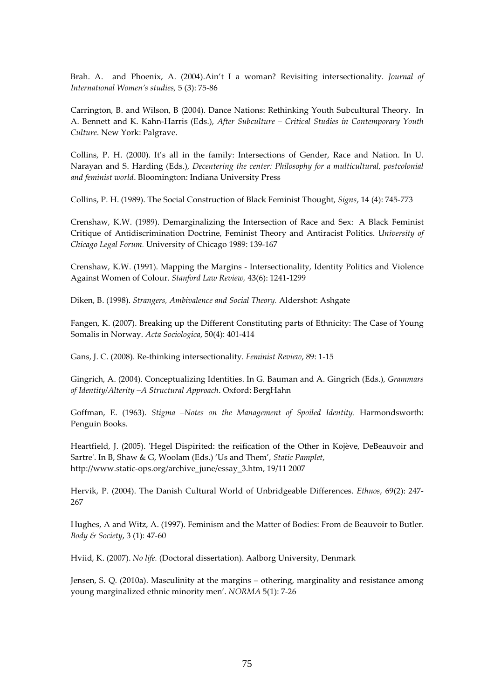Brah. A. and Phoenix, A. (2004). Ain't I a woman? Revisiting intersectionality. Journal of International Women's studies, 5 (3): 75-86

Carrington, B. and Wilson, B (2004). Dance Nations: Rethinking Youth Subcultural Theory. In A. Bennett and K. Kahn-Harris (Eds.), After Subculture – Critical Studies in Contemporary Youth Culture. New York: Palgrave.

Collins, P. H. (2000). It's all in the family: Intersections of Gender, Race and Nation. In U. Narayan and S. Harding (Eds.), Decentering the center: Philosophy for a multicultural, postcolonial and feminist world. Bloomington: Indiana University Press

Collins, P. H. (1989). The Social Construction of Black Feminist Thought, Signs, 14 (4): 745-773

Crenshaw, K.W. (1989). Demarginalizing the Intersection of Race and Sex: A Black Feminist Critique of Antidiscrimination Doctrine, Feminist Theory and Antiracist Politics. University of Chicago Legal Forum. University of Chicago 1989: 139-167

Crenshaw, K.W. (1991). Mapping the Margins - Intersectionality, Identity Politics and Violence Against Women of Colour. Stanford Law Review, 43(6): 1241-1299

Diken, B. (1998). Strangers, Ambivalence and Social Theory. Aldershot: Ashgate

Fangen, K. (2007). Breaking up the Different Constituting parts of Ethnicity: The Case of Young Somalis in Norway. Acta Sociologica, 50(4): 401-414

Gans, J. C. (2008). Re-thinking intersectionality. Feminist Review, 89: 1-15

Gingrich, A. (2004). Conceptualizing Identities. In G. Bauman and A. Gingrich (Eds.), Grammars of Identity/Alterity –A Structural Approach. Oxford: BergHahn

Goffman, E. (1963). Stigma –Notes on the Management of Spoiled Identity. Harmondsworth: Penguin Books.

Heartfield, J. (2005). 'Hegel Dispirited: the reification of the Other in Kojève, DeBeauvoir and Sartre'. In B, Shaw & G, Woolam (Eds.) 'Us and Them', Static Pamplet, http://www.static-ops.org/archive\_june/essay\_3.htm, 19/11 2007

Hervik, P. (2004). The Danish Cultural World of Unbridgeable Differences. Ethnos, 69(2): 247- 267

Hughes, A and Witz, A. (1997). Feminism and the Matter of Bodies: From de Beauvoir to Butler. Body & Society, 3 (1): 47-60

Hviid, K. (2007). No life. (Doctoral dissertation). Aalborg University, Denmark

Jensen, S. Q. (2010a). Masculinity at the margins – othering, marginality and resistance among young marginalized ethnic minority men'. NORMA 5(1): 7-26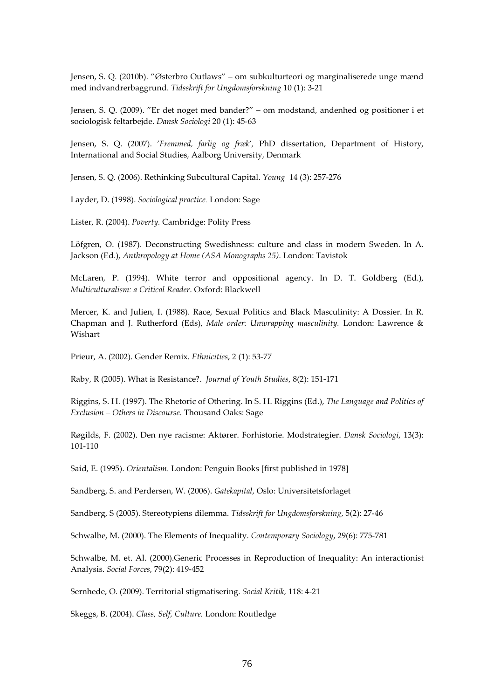Jensen, S. Q. (2010b). "Østerbro Outlaws" – om subkulturteori og marginaliserede unge mænd med indvandrerbaggrund. Tidsskrift for Ungdomsforskning 10 (1): 3-21

Jensen, S. Q. (2009). "Er det noget med bander?" – om modstand, andenhed og positioner i et sociologisk feltarbejde. Dansk Sociologi 20 (1): 45-63

Jensen, S. Q. (2007). 'Fremmed, farlig og fræk', PhD dissertation, Department of History, International and Social Studies, Aalborg University, Denmark

Jensen, S. Q. (2006). Rethinking Subcultural Capital. Young 14 (3): 257-276

Layder, D. (1998). Sociological practice. London: Sage

Lister, R. (2004). Poverty. Cambridge: Polity Press

Löfgren, O. (1987). Deconstructing Swedishness: culture and class in modern Sweden. In A. Jackson (Ed.), Anthropology at Home (ASA Monographs 25). London: Tavistok

McLaren, P. (1994). White terror and oppositional agency. In D. T. Goldberg (Ed.), Multiculturalism: a Critical Reader. Oxford: Blackwell

Mercer, K. and Julien, I. (1988). Race, Sexual Politics and Black Masculinity: A Dossier. In R. Chapman and J. Rutherford (Eds), Male order: Unwrapping masculinity. London: Lawrence & Wishart

Prieur, A. (2002). Gender Remix. Ethnicities, 2 (1): 53-77

Raby, R (2005). What is Resistance?. Journal of Youth Studies, 8(2): 151-171

Riggins, S. H. (1997). The Rhetoric of Othering. In S. H. Riggins (Ed.), The Language and Politics of Exclusion – Others in Discourse. Thousand Oaks: Sage

Røgilds, F. (2002). Den nye racisme: Aktører. Forhistorie. Modstrategier. Dansk Sociologi, 13(3): 101-110

Said, E. (1995). Orientalism. London: Penguin Books [first published in 1978]

Sandberg, S. and Perdersen, W. (2006). Gatekapital, Oslo: Universitetsforlaget

Sandberg, S (2005). Stereotypiens dilemma. Tidsskrift for Ungdomsforskning, 5(2): 27-46

Schwalbe, M. (2000). The Elements of Inequality. Contemporary Sociology, 29(6): 775-781

Schwalbe, M. et. Al. (2000).Generic Processes in Reproduction of Inequality: An interactionist Analysis. Social Forces, 79(2): 419-452

Sernhede, O. (2009). Territorial stigmatisering. Social Kritik, 118: 4-21

Skeggs, B. (2004). Class, Self, Culture. London: Routledge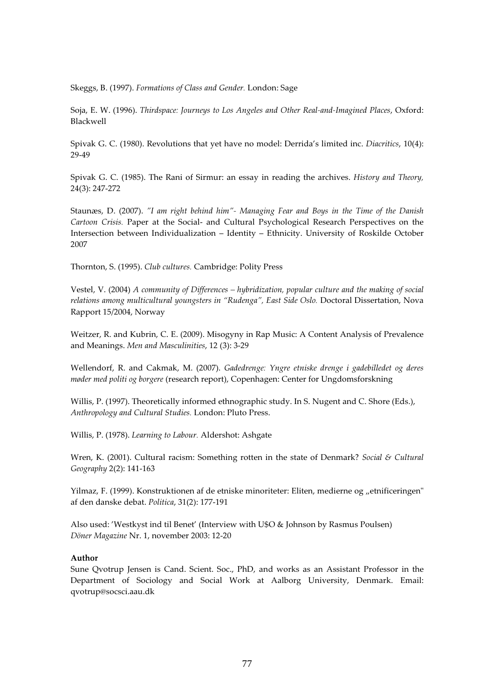Skeggs, B. (1997). Formations of Class and Gender. London: Sage

Soja, E. W. (1996). Thirdspace: Journeys to Los Angeles and Other Real-and-Imagined Places, Oxford: Blackwell

Spivak G. C. (1980). Revolutions that yet have no model: Derrida's limited inc. Diacritics, 10(4): 29-49

Spivak G. C. (1985). The Rani of Sirmur: an essay in reading the archives. *History and Theory*, 24(3): 247-272

Staunæs, D. (2007). "I am right behind him"- Managing Fear and Boys in the Time of the Danish Cartoon Crisis. Paper at the Social- and Cultural Psychological Research Perspectives on the Intersection between Individualization – Identity – Ethnicity. University of Roskilde October 2007

Thornton, S. (1995). Club cultures. Cambridge: Polity Press

Vestel, V. (2004) A community of Differences – hybridization, popular culture and the making of social relations among multicultural youngsters in "Rudenga", East Side Oslo. Doctoral Dissertation, Nova Rapport 15/2004, Norway

Weitzer, R. and Kubrin, C. E. (2009). Misogyny in Rap Music: A Content Analysis of Prevalence and Meanings. Men and Masculinities, 12 (3): 3-29

Wellendorf, R. and Cakmak, M. (2007). Gadedrenge: Yngre etniske drenge i gadebilledet og deres møder med politi og borgere (research report), Copenhagen: Center for Ungdomsforskning

Willis, P. (1997). Theoretically informed ethnographic study. In S. Nugent and C. Shore (Eds.), Anthropology and Cultural Studies. London: Pluto Press.

Willis, P. (1978). Learning to Labour. Aldershot: Ashgate

Wren, K. (2001). Cultural racism: Something rotten in the state of Denmark? Social & Cultural Geography 2(2): 141-163

Yilmaz, F. (1999). Konstruktionen af de etniske minoriteter: Eliten, medierne og "etnificeringen" af den danske debat. Politica, 31(2): 177-191

Also used: 'Westkyst ind til Benet' (Interview with U\$O & Johnson by Rasmus Poulsen) Döner Magazine Nr. 1, november 2003: 12-20

### Author

Sune Qvotrup Jensen is Cand. Scient. Soc., PhD, and works as an Assistant Professor in the Department of Sociology and Social Work at Aalborg University, Denmark. Email: qvotrup@socsci.aau.dk